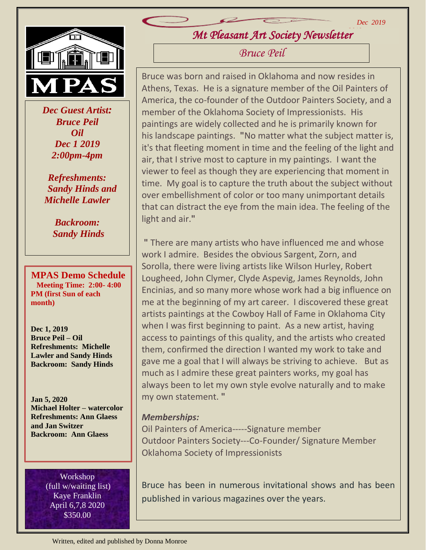

 *Dec Guest Artist: Bruce Peil Oil Dec 1 2019 2:00pm-4pm*

*Refreshments: Sandy Hinds and Michelle Lawler*

> *Backroom: Sandy Hinds*

**MPAS Demo Schedule Meeting Time: 2:00- 4:00 PM (first Sun of each month)**

**Dec 1, 2019 Bruce Peil – Oil Refreshments: Michelle Lawler and Sandy Hinds Backroom: Sandy Hinds**

**Jan 5, 2020 Michael Holter – watercolor Refreshments: Ann Glaess and Jan Switzer Backroom: Ann Glaess**

> Workshop (full w/waiting list) Kaye Franklin April 6,7,8 2020 \$350.00

*Mt Pleasant Art Society Newsletter 2019*

*Bruce Peil*

Bruce was born and raised in Oklahoma and now resides in Athens, Texas. He is a signature member of the Oil Painters of America, the co-founder of the Outdoor Painters Society, and a member of the Oklahoma Society of Impressionists. His paintings are widely collected and he is primarily known for his landscape paintings. **"**No matter what the subject matter is, it's that fleeting moment in time and the feeling of the light and air, that I strive most to capture in my paintings. I want the viewer to feel as though they are experiencing that moment in time. My goal is to capture the truth about the subject without over embellishment of color or too many unimportant details that can distract the eye from the main idea. The feeling of the light and air.**"**

**"** There are many artists who have influenced me and whose work I admire. Besides the obvious Sargent, Zorn, and Sorolla, there were living artists like Wilson Hurley, Robert Lougheed, John Clymer, Clyde Aspevig, James Reynolds, John Encinias, and so many more whose work had a big influence on me at the beginning of my art career. I discovered these great artists paintings at the Cowboy Hall of Fame in Oklahoma City when I was first beginning to paint. As a new artist, having access to paintings of this quality, and the artists who created them, confirmed the direction I wanted my work to take and gave me a goal that I will always be striving to achieve. But as much as I admire these great painters works, my goal has always been to let my own style evolve naturally and to make my own statement. **"**

## *Memberships:*

Oil Painters of America-----Signature member Outdoor Painters Society---Co-Founder/ Signature Member Oklahoma Society of Impressionists

Bruce has been in numerous invitational shows and has been published in various magazines over the years.